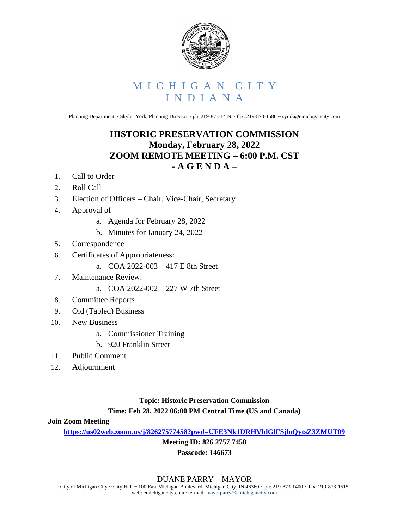

# M I C H I G A N C I T Y I N D I A N A

Planning Department ~ Skyler York, Planning Director ~ ph: 219-873-1419 ~ fax: 219-873-1580 ~ syork@emichigancity.com

## **HISTORIC PRESERVATION COMMISSION Monday, February 28, 2022 ZOOM REMOTE MEETING – 6:00 P.M. CST - A G E N D A –**

- 1. Call to Order
- 2. Roll Call
- 3. Election of Officers Chair, Vice-Chair, Secretary
- 4. Approval of
	- a. Agenda for February 28, 2022
	- b. Minutes for January 24, 2022
- 5. Correspondence
- 6. Certificates of Appropriateness:
	- a. COA 2022-003 417 E 8th Street
- 7. Maintenance Review:
	- a. COA 2022-002 227 W 7th Street
- 8. Committee Reports
- 9. Old (Tabled) Business
- 10. New Business
	- a. Commissioner Training
	- b. 920 Franklin Street
- 11. Public Comment
- 12. Adjournment

### **Topic: Historic Preservation Commission Time: Feb 28, 2022 06:00 PM Central Time (US and Canada)**

#### **Join Zoom Meeting**

**<https://us02web.zoom.us/j/82627577458?pwd=UFE3Nk1DRHVldGlFSjloQytsZ3ZMUT09>**

**Meeting ID: 826 2757 7458**

#### **Passcode: 146673**

#### DUANE PARRY – MAYOR

City of Michigan City ~ City Hall ~ 100 East Michigan Boulevard, Michigan City, IN 46360 ~ ph: 219-873-1400 ~ fax: 219-873-1515 web: emichigancity.com ~ e-mail: mayorparry@emichigancity.com